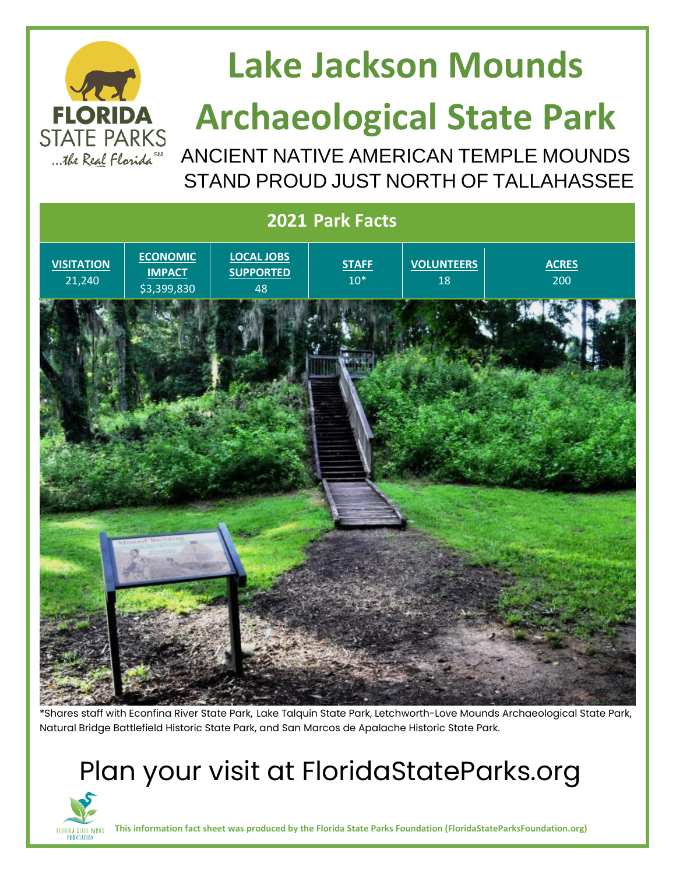

## **Lake Jackson Mounds**

# **Archaeological State Park**

ANCIENT NATIVE AMERICAN TEMPLE MOUNDS STAND PROUD JUST NORTH OF TALLAHASSEE



\*Shares staff with Econfina River State Park, Lake Talquin State Park, Letchworth-Love Mounds Archaeological State Park, Natural Bridge Battlefield Historic State Park, and San Marcos de Apalache Historic State Park.

#### Plan your visit at FloridaStateParks.org



**This information fact sheet was produced by the Florida State Parks Foundation (FloridaStateParksFoundation.org)**